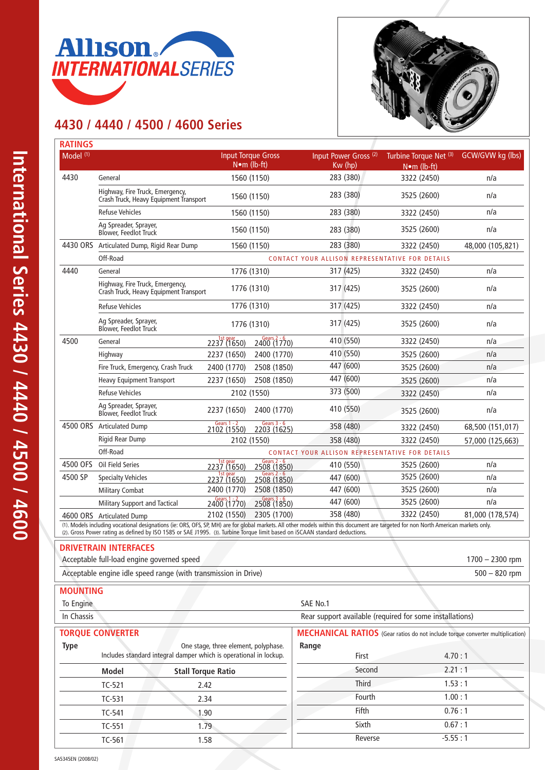



## **4430 / 4440 / 4500 / 4600 Series**

| Model (1)<br><b>Input Torque Gross</b><br>Turbine Torque Net (3) GCW/GVW kg (lbs)<br>Input Power Gross <sup>(2)</sup><br>$N \cdot m$ (lb-ft)<br>Kw (hp)<br>$N \cdot m$ (lb-ft)<br>4430<br>283 (380)<br>1560 (1150)<br>3322 (2450)<br>n/a<br>General<br>Highway, Fire Truck, Emergency,<br>283 (380)<br>n/a<br>3525 (2600)<br>1560 (1150)<br>Crash Truck, Heavy Equipment Transport<br>n/a<br><b>Refuse Vehicles</b><br>283 (380)<br>1560 (1150)<br>3322 (2450)<br>Ag Spreader, Sprayer,<br>n/a<br>3525 (2600)<br>1560 (1150)<br>283 (380)<br><b>Blower, Feedlot Truck</b><br>4430 ORS<br>283 (380)<br>Articulated Dump, Rigid Rear Dump<br>1560 (1150)<br>48,000 (105,821)<br>3322 (2450)<br>Off-Road<br>CONTACT YOUR ALLISON REPRESENTATIVE FOR DETAILS<br>n/a<br>4440<br>1776 (1310)<br>317 (425)<br>General<br>3322 (2450)<br>Highway, Fire Truck, Emergency,<br>n/a<br>1776 (1310)<br>317 (425)<br>3525 (2600)<br>Crash Truck, Heavy Equipment Transport<br>317 (425)<br>1776 (1310)<br><b>Refuse Vehicles</b><br>3322 (2450)<br>n/a<br>Ag Spreader, Sprayer,<br>317 (425)<br>3525 (2600)<br>1776 (1310)<br>n/a<br><b>Blower, Feedlot Truck</b><br>1st gear<br>Gears 2 - 6<br>2400 (1770)<br>410 (550)<br>4500<br>3322 (2450)<br>n/a<br>General<br>2237 (1650)<br>410 (550)<br>n/a<br>2237 (1650)<br>2400 (1770)<br>3525 (2600)<br>Highway<br>447 (600)<br>2508 (1850)<br>Fire Truck, Emergency, Crash Truck<br>2400 (1770)<br>3525 (2600)<br>n/a<br>447 (600)<br>2508 (1850)<br>2237 (1650)<br>n/a<br>3525 (2600)<br><b>Heavy Equipment Transport</b><br>373 (500)<br>n/a<br>2102 (1550)<br><b>Refuse Vehicles</b><br>3322 (2450)<br>Ag Spreader, Sprayer,<br>410 (550)<br>2237 (1650)<br>2400 (1770)<br>n/a<br>3525 (2600)<br><b>Blower, Feedlot Truck</b><br>Gears 3 - 6<br><b>Gears 1 - 2</b><br>4500 ORS Articulated Dump<br>358 (480)<br>68,500 (151,017)<br>3322 (2450)<br>2102 (1550)<br>2203 (1625)<br>Rigid Rear Dump<br>2102 (1550)<br>358 (480)<br>3322 (2450)<br>57,000 (125,663)<br>Off-Road<br>CONTACT YOUR ALLISON REPRESENTATIVE FOR DETAILS<br>Gears $2 - 6$<br>1st gear<br>2237 (1650)<br>4500 OFS<br>Oil Field Series<br>410 (550)<br>3525 (2600)<br>n/a<br>2508 (1850)<br>Gears $2 - 6$<br>1st gear<br>3525 (2600)<br>4500 SP<br>447 (600)<br>n/a<br><b>Specialty Vehicles</b><br>2237 (1650)<br>2508 (1850)<br>2400 (1770)<br>2508 (1850)<br>3525 (2600)<br>n/a<br>447 (600)<br><b>Military Combat</b><br>Gears 3 - 6<br>2508 (1850)<br>$\frac{Gears}{2400}(\frac{1}{1770})$<br>447 (600)<br>3525 (2600)<br>n/a<br>Military Support and Tactical<br>3322 (2450)<br>358 (480)<br>81,000 (178,574)<br>2102 (1550)<br>2305 (1700)<br>4600 ORS Articulated Dump<br>(1). Models including vocational designations (ie: ORS, OFS, SP, MH) are for global markets. All other models within this document are targeted for non North American markets only.<br>(2). Gross Power rating as defined by ISO 1585 or SAE J1995. (3). Turbine Torque limit based on iSCAAN standard deductions.<br><b>DRIVETRAIN INTERFACES</b><br>Acceptable full-load engine governed speed<br>$1700 - 2300$ rpm<br>Acceptable engine idle speed range (with transmission in Drive)<br>$500 - 820$ rpm<br><b>MOUNTING</b><br>SAE No.1<br>To Engine<br>Rear support available (required for some installations)<br>In Chassis<br><b>TORQUE CONVERTER</b><br><b>Type</b><br>One stage, three element, polyphase.<br>Range<br>Includes standard integral damper which is operational in lockup.<br>4.70:1<br>First<br>Second<br>2.21:1<br><b>Model</b><br><b>Stall Torque Ratio</b><br><b>Third</b><br>1.53:1<br>TC-521<br>2.42<br>1.00:1<br>Fourth<br>2.34<br>TC-531<br>Fifth<br>0.76:1<br>TC-541<br>1.90<br>Sixth<br>0.67:1<br>1.79<br>TC-551<br>Reverse<br>1.58 | <b>RATINGS</b> |        |  |  |  |  |           |  |  |  |
|----------------------------------------------------------------------------------------------------------------------------------------------------------------------------------------------------------------------------------------------------------------------------------------------------------------------------------------------------------------------------------------------------------------------------------------------------------------------------------------------------------------------------------------------------------------------------------------------------------------------------------------------------------------------------------------------------------------------------------------------------------------------------------------------------------------------------------------------------------------------------------------------------------------------------------------------------------------------------------------------------------------------------------------------------------------------------------------------------------------------------------------------------------------------------------------------------------------------------------------------------------------------------------------------------------------------------------------------------------------------------------------------------------------------------------------------------------------------------------------------------------------------------------------------------------------------------------------------------------------------------------------------------------------------------------------------------------------------------------------------------------------------------------------------------------------------------------------------------------------------------------------------------------------------------------------------------------------------------------------------------------------------------------------------------------------------------------------------------------------------------------------------------------------------------------------------------------------------------------------------------------------------------------------------------------------------------------------------------------------------------------------------------------------------------------------------------------------------------------------------------------------------------------------------------------------------------------------------------------------------------------------------------------------------------------------------------------------------------------------------------------------------------------------------------------------------------------------------------------------------------------------------------------------------------------------------------------------------------------------------------------------------------------------------------------------------------------------------------------------------------------------------------------------------------------------------------------------------------------------------------------------------------------------------------------------------------------------------------------------------------------------------------------------------------------------------------------------------------------------------------------------------------------------------------------------------------------------------------------------------------------------------------------------------------------------------------------------------------------------------------------------|----------------|--------|--|--|--|--|-----------|--|--|--|
|                                                                                                                                                                                                                                                                                                                                                                                                                                                                                                                                                                                                                                                                                                                                                                                                                                                                                                                                                                                                                                                                                                                                                                                                                                                                                                                                                                                                                                                                                                                                                                                                                                                                                                                                                                                                                                                                                                                                                                                                                                                                                                                                                                                                                                                                                                                                                                                                                                                                                                                                                                                                                                                                                                                                                                                                                                                                                                                                                                                                                                                                                                                                                                                                                                                                                                                                                                                                                                                                                                                                                                                                                                                                                                                                                                |                |        |  |  |  |  |           |  |  |  |
|                                                                                                                                                                                                                                                                                                                                                                                                                                                                                                                                                                                                                                                                                                                                                                                                                                                                                                                                                                                                                                                                                                                                                                                                                                                                                                                                                                                                                                                                                                                                                                                                                                                                                                                                                                                                                                                                                                                                                                                                                                                                                                                                                                                                                                                                                                                                                                                                                                                                                                                                                                                                                                                                                                                                                                                                                                                                                                                                                                                                                                                                                                                                                                                                                                                                                                                                                                                                                                                                                                                                                                                                                                                                                                                                                                |                |        |  |  |  |  |           |  |  |  |
|                                                                                                                                                                                                                                                                                                                                                                                                                                                                                                                                                                                                                                                                                                                                                                                                                                                                                                                                                                                                                                                                                                                                                                                                                                                                                                                                                                                                                                                                                                                                                                                                                                                                                                                                                                                                                                                                                                                                                                                                                                                                                                                                                                                                                                                                                                                                                                                                                                                                                                                                                                                                                                                                                                                                                                                                                                                                                                                                                                                                                                                                                                                                                                                                                                                                                                                                                                                                                                                                                                                                                                                                                                                                                                                                                                |                |        |  |  |  |  |           |  |  |  |
|                                                                                                                                                                                                                                                                                                                                                                                                                                                                                                                                                                                                                                                                                                                                                                                                                                                                                                                                                                                                                                                                                                                                                                                                                                                                                                                                                                                                                                                                                                                                                                                                                                                                                                                                                                                                                                                                                                                                                                                                                                                                                                                                                                                                                                                                                                                                                                                                                                                                                                                                                                                                                                                                                                                                                                                                                                                                                                                                                                                                                                                                                                                                                                                                                                                                                                                                                                                                                                                                                                                                                                                                                                                                                                                                                                |                |        |  |  |  |  |           |  |  |  |
|                                                                                                                                                                                                                                                                                                                                                                                                                                                                                                                                                                                                                                                                                                                                                                                                                                                                                                                                                                                                                                                                                                                                                                                                                                                                                                                                                                                                                                                                                                                                                                                                                                                                                                                                                                                                                                                                                                                                                                                                                                                                                                                                                                                                                                                                                                                                                                                                                                                                                                                                                                                                                                                                                                                                                                                                                                                                                                                                                                                                                                                                                                                                                                                                                                                                                                                                                                                                                                                                                                                                                                                                                                                                                                                                                                |                |        |  |  |  |  |           |  |  |  |
| <b>MECHANICAL RATIOS</b> (Gear ratios do not include torque converter multiplication)                                                                                                                                                                                                                                                                                                                                                                                                                                                                                                                                                                                                                                                                                                                                                                                                                                                                                                                                                                                                                                                                                                                                                                                                                                                                                                                                                                                                                                                                                                                                                                                                                                                                                                                                                                                                                                                                                                                                                                                                                                                                                                                                                                                                                                                                                                                                                                                                                                                                                                                                                                                                                                                                                                                                                                                                                                                                                                                                                                                                                                                                                                                                                                                                                                                                                                                                                                                                                                                                                                                                                                                                                                                                          |                |        |  |  |  |  |           |  |  |  |
|                                                                                                                                                                                                                                                                                                                                                                                                                                                                                                                                                                                                                                                                                                                                                                                                                                                                                                                                                                                                                                                                                                                                                                                                                                                                                                                                                                                                                                                                                                                                                                                                                                                                                                                                                                                                                                                                                                                                                                                                                                                                                                                                                                                                                                                                                                                                                                                                                                                                                                                                                                                                                                                                                                                                                                                                                                                                                                                                                                                                                                                                                                                                                                                                                                                                                                                                                                                                                                                                                                                                                                                                                                                                                                                                                                |                |        |  |  |  |  |           |  |  |  |
|                                                                                                                                                                                                                                                                                                                                                                                                                                                                                                                                                                                                                                                                                                                                                                                                                                                                                                                                                                                                                                                                                                                                                                                                                                                                                                                                                                                                                                                                                                                                                                                                                                                                                                                                                                                                                                                                                                                                                                                                                                                                                                                                                                                                                                                                                                                                                                                                                                                                                                                                                                                                                                                                                                                                                                                                                                                                                                                                                                                                                                                                                                                                                                                                                                                                                                                                                                                                                                                                                                                                                                                                                                                                                                                                                                |                |        |  |  |  |  |           |  |  |  |
|                                                                                                                                                                                                                                                                                                                                                                                                                                                                                                                                                                                                                                                                                                                                                                                                                                                                                                                                                                                                                                                                                                                                                                                                                                                                                                                                                                                                                                                                                                                                                                                                                                                                                                                                                                                                                                                                                                                                                                                                                                                                                                                                                                                                                                                                                                                                                                                                                                                                                                                                                                                                                                                                                                                                                                                                                                                                                                                                                                                                                                                                                                                                                                                                                                                                                                                                                                                                                                                                                                                                                                                                                                                                                                                                                                |                |        |  |  |  |  |           |  |  |  |
|                                                                                                                                                                                                                                                                                                                                                                                                                                                                                                                                                                                                                                                                                                                                                                                                                                                                                                                                                                                                                                                                                                                                                                                                                                                                                                                                                                                                                                                                                                                                                                                                                                                                                                                                                                                                                                                                                                                                                                                                                                                                                                                                                                                                                                                                                                                                                                                                                                                                                                                                                                                                                                                                                                                                                                                                                                                                                                                                                                                                                                                                                                                                                                                                                                                                                                                                                                                                                                                                                                                                                                                                                                                                                                                                                                |                |        |  |  |  |  |           |  |  |  |
|                                                                                                                                                                                                                                                                                                                                                                                                                                                                                                                                                                                                                                                                                                                                                                                                                                                                                                                                                                                                                                                                                                                                                                                                                                                                                                                                                                                                                                                                                                                                                                                                                                                                                                                                                                                                                                                                                                                                                                                                                                                                                                                                                                                                                                                                                                                                                                                                                                                                                                                                                                                                                                                                                                                                                                                                                                                                                                                                                                                                                                                                                                                                                                                                                                                                                                                                                                                                                                                                                                                                                                                                                                                                                                                                                                |                |        |  |  |  |  |           |  |  |  |
|                                                                                                                                                                                                                                                                                                                                                                                                                                                                                                                                                                                                                                                                                                                                                                                                                                                                                                                                                                                                                                                                                                                                                                                                                                                                                                                                                                                                                                                                                                                                                                                                                                                                                                                                                                                                                                                                                                                                                                                                                                                                                                                                                                                                                                                                                                                                                                                                                                                                                                                                                                                                                                                                                                                                                                                                                                                                                                                                                                                                                                                                                                                                                                                                                                                                                                                                                                                                                                                                                                                                                                                                                                                                                                                                                                |                |        |  |  |  |  |           |  |  |  |
|                                                                                                                                                                                                                                                                                                                                                                                                                                                                                                                                                                                                                                                                                                                                                                                                                                                                                                                                                                                                                                                                                                                                                                                                                                                                                                                                                                                                                                                                                                                                                                                                                                                                                                                                                                                                                                                                                                                                                                                                                                                                                                                                                                                                                                                                                                                                                                                                                                                                                                                                                                                                                                                                                                                                                                                                                                                                                                                                                                                                                                                                                                                                                                                                                                                                                                                                                                                                                                                                                                                                                                                                                                                                                                                                                                |                |        |  |  |  |  |           |  |  |  |
|                                                                                                                                                                                                                                                                                                                                                                                                                                                                                                                                                                                                                                                                                                                                                                                                                                                                                                                                                                                                                                                                                                                                                                                                                                                                                                                                                                                                                                                                                                                                                                                                                                                                                                                                                                                                                                                                                                                                                                                                                                                                                                                                                                                                                                                                                                                                                                                                                                                                                                                                                                                                                                                                                                                                                                                                                                                                                                                                                                                                                                                                                                                                                                                                                                                                                                                                                                                                                                                                                                                                                                                                                                                                                                                                                                |                |        |  |  |  |  |           |  |  |  |
|                                                                                                                                                                                                                                                                                                                                                                                                                                                                                                                                                                                                                                                                                                                                                                                                                                                                                                                                                                                                                                                                                                                                                                                                                                                                                                                                                                                                                                                                                                                                                                                                                                                                                                                                                                                                                                                                                                                                                                                                                                                                                                                                                                                                                                                                                                                                                                                                                                                                                                                                                                                                                                                                                                                                                                                                                                                                                                                                                                                                                                                                                                                                                                                                                                                                                                                                                                                                                                                                                                                                                                                                                                                                                                                                                                |                |        |  |  |  |  |           |  |  |  |
|                                                                                                                                                                                                                                                                                                                                                                                                                                                                                                                                                                                                                                                                                                                                                                                                                                                                                                                                                                                                                                                                                                                                                                                                                                                                                                                                                                                                                                                                                                                                                                                                                                                                                                                                                                                                                                                                                                                                                                                                                                                                                                                                                                                                                                                                                                                                                                                                                                                                                                                                                                                                                                                                                                                                                                                                                                                                                                                                                                                                                                                                                                                                                                                                                                                                                                                                                                                                                                                                                                                                                                                                                                                                                                                                                                |                |        |  |  |  |  |           |  |  |  |
|                                                                                                                                                                                                                                                                                                                                                                                                                                                                                                                                                                                                                                                                                                                                                                                                                                                                                                                                                                                                                                                                                                                                                                                                                                                                                                                                                                                                                                                                                                                                                                                                                                                                                                                                                                                                                                                                                                                                                                                                                                                                                                                                                                                                                                                                                                                                                                                                                                                                                                                                                                                                                                                                                                                                                                                                                                                                                                                                                                                                                                                                                                                                                                                                                                                                                                                                                                                                                                                                                                                                                                                                                                                                                                                                                                |                |        |  |  |  |  |           |  |  |  |
|                                                                                                                                                                                                                                                                                                                                                                                                                                                                                                                                                                                                                                                                                                                                                                                                                                                                                                                                                                                                                                                                                                                                                                                                                                                                                                                                                                                                                                                                                                                                                                                                                                                                                                                                                                                                                                                                                                                                                                                                                                                                                                                                                                                                                                                                                                                                                                                                                                                                                                                                                                                                                                                                                                                                                                                                                                                                                                                                                                                                                                                                                                                                                                                                                                                                                                                                                                                                                                                                                                                                                                                                                                                                                                                                                                |                |        |  |  |  |  |           |  |  |  |
|                                                                                                                                                                                                                                                                                                                                                                                                                                                                                                                                                                                                                                                                                                                                                                                                                                                                                                                                                                                                                                                                                                                                                                                                                                                                                                                                                                                                                                                                                                                                                                                                                                                                                                                                                                                                                                                                                                                                                                                                                                                                                                                                                                                                                                                                                                                                                                                                                                                                                                                                                                                                                                                                                                                                                                                                                                                                                                                                                                                                                                                                                                                                                                                                                                                                                                                                                                                                                                                                                                                                                                                                                                                                                                                                                                |                |        |  |  |  |  |           |  |  |  |
|                                                                                                                                                                                                                                                                                                                                                                                                                                                                                                                                                                                                                                                                                                                                                                                                                                                                                                                                                                                                                                                                                                                                                                                                                                                                                                                                                                                                                                                                                                                                                                                                                                                                                                                                                                                                                                                                                                                                                                                                                                                                                                                                                                                                                                                                                                                                                                                                                                                                                                                                                                                                                                                                                                                                                                                                                                                                                                                                                                                                                                                                                                                                                                                                                                                                                                                                                                                                                                                                                                                                                                                                                                                                                                                                                                |                |        |  |  |  |  |           |  |  |  |
|                                                                                                                                                                                                                                                                                                                                                                                                                                                                                                                                                                                                                                                                                                                                                                                                                                                                                                                                                                                                                                                                                                                                                                                                                                                                                                                                                                                                                                                                                                                                                                                                                                                                                                                                                                                                                                                                                                                                                                                                                                                                                                                                                                                                                                                                                                                                                                                                                                                                                                                                                                                                                                                                                                                                                                                                                                                                                                                                                                                                                                                                                                                                                                                                                                                                                                                                                                                                                                                                                                                                                                                                                                                                                                                                                                |                |        |  |  |  |  |           |  |  |  |
|                                                                                                                                                                                                                                                                                                                                                                                                                                                                                                                                                                                                                                                                                                                                                                                                                                                                                                                                                                                                                                                                                                                                                                                                                                                                                                                                                                                                                                                                                                                                                                                                                                                                                                                                                                                                                                                                                                                                                                                                                                                                                                                                                                                                                                                                                                                                                                                                                                                                                                                                                                                                                                                                                                                                                                                                                                                                                                                                                                                                                                                                                                                                                                                                                                                                                                                                                                                                                                                                                                                                                                                                                                                                                                                                                                |                |        |  |  |  |  |           |  |  |  |
|                                                                                                                                                                                                                                                                                                                                                                                                                                                                                                                                                                                                                                                                                                                                                                                                                                                                                                                                                                                                                                                                                                                                                                                                                                                                                                                                                                                                                                                                                                                                                                                                                                                                                                                                                                                                                                                                                                                                                                                                                                                                                                                                                                                                                                                                                                                                                                                                                                                                                                                                                                                                                                                                                                                                                                                                                                                                                                                                                                                                                                                                                                                                                                                                                                                                                                                                                                                                                                                                                                                                                                                                                                                                                                                                                                |                |        |  |  |  |  |           |  |  |  |
|                                                                                                                                                                                                                                                                                                                                                                                                                                                                                                                                                                                                                                                                                                                                                                                                                                                                                                                                                                                                                                                                                                                                                                                                                                                                                                                                                                                                                                                                                                                                                                                                                                                                                                                                                                                                                                                                                                                                                                                                                                                                                                                                                                                                                                                                                                                                                                                                                                                                                                                                                                                                                                                                                                                                                                                                                                                                                                                                                                                                                                                                                                                                                                                                                                                                                                                                                                                                                                                                                                                                                                                                                                                                                                                                                                |                |        |  |  |  |  |           |  |  |  |
|                                                                                                                                                                                                                                                                                                                                                                                                                                                                                                                                                                                                                                                                                                                                                                                                                                                                                                                                                                                                                                                                                                                                                                                                                                                                                                                                                                                                                                                                                                                                                                                                                                                                                                                                                                                                                                                                                                                                                                                                                                                                                                                                                                                                                                                                                                                                                                                                                                                                                                                                                                                                                                                                                                                                                                                                                                                                                                                                                                                                                                                                                                                                                                                                                                                                                                                                                                                                                                                                                                                                                                                                                                                                                                                                                                |                |        |  |  |  |  |           |  |  |  |
|                                                                                                                                                                                                                                                                                                                                                                                                                                                                                                                                                                                                                                                                                                                                                                                                                                                                                                                                                                                                                                                                                                                                                                                                                                                                                                                                                                                                                                                                                                                                                                                                                                                                                                                                                                                                                                                                                                                                                                                                                                                                                                                                                                                                                                                                                                                                                                                                                                                                                                                                                                                                                                                                                                                                                                                                                                                                                                                                                                                                                                                                                                                                                                                                                                                                                                                                                                                                                                                                                                                                                                                                                                                                                                                                                                |                |        |  |  |  |  |           |  |  |  |
|                                                                                                                                                                                                                                                                                                                                                                                                                                                                                                                                                                                                                                                                                                                                                                                                                                                                                                                                                                                                                                                                                                                                                                                                                                                                                                                                                                                                                                                                                                                                                                                                                                                                                                                                                                                                                                                                                                                                                                                                                                                                                                                                                                                                                                                                                                                                                                                                                                                                                                                                                                                                                                                                                                                                                                                                                                                                                                                                                                                                                                                                                                                                                                                                                                                                                                                                                                                                                                                                                                                                                                                                                                                                                                                                                                |                |        |  |  |  |  |           |  |  |  |
|                                                                                                                                                                                                                                                                                                                                                                                                                                                                                                                                                                                                                                                                                                                                                                                                                                                                                                                                                                                                                                                                                                                                                                                                                                                                                                                                                                                                                                                                                                                                                                                                                                                                                                                                                                                                                                                                                                                                                                                                                                                                                                                                                                                                                                                                                                                                                                                                                                                                                                                                                                                                                                                                                                                                                                                                                                                                                                                                                                                                                                                                                                                                                                                                                                                                                                                                                                                                                                                                                                                                                                                                                                                                                                                                                                |                |        |  |  |  |  |           |  |  |  |
|                                                                                                                                                                                                                                                                                                                                                                                                                                                                                                                                                                                                                                                                                                                                                                                                                                                                                                                                                                                                                                                                                                                                                                                                                                                                                                                                                                                                                                                                                                                                                                                                                                                                                                                                                                                                                                                                                                                                                                                                                                                                                                                                                                                                                                                                                                                                                                                                                                                                                                                                                                                                                                                                                                                                                                                                                                                                                                                                                                                                                                                                                                                                                                                                                                                                                                                                                                                                                                                                                                                                                                                                                                                                                                                                                                |                |        |  |  |  |  |           |  |  |  |
|                                                                                                                                                                                                                                                                                                                                                                                                                                                                                                                                                                                                                                                                                                                                                                                                                                                                                                                                                                                                                                                                                                                                                                                                                                                                                                                                                                                                                                                                                                                                                                                                                                                                                                                                                                                                                                                                                                                                                                                                                                                                                                                                                                                                                                                                                                                                                                                                                                                                                                                                                                                                                                                                                                                                                                                                                                                                                                                                                                                                                                                                                                                                                                                                                                                                                                                                                                                                                                                                                                                                                                                                                                                                                                                                                                |                |        |  |  |  |  |           |  |  |  |
|                                                                                                                                                                                                                                                                                                                                                                                                                                                                                                                                                                                                                                                                                                                                                                                                                                                                                                                                                                                                                                                                                                                                                                                                                                                                                                                                                                                                                                                                                                                                                                                                                                                                                                                                                                                                                                                                                                                                                                                                                                                                                                                                                                                                                                                                                                                                                                                                                                                                                                                                                                                                                                                                                                                                                                                                                                                                                                                                                                                                                                                                                                                                                                                                                                                                                                                                                                                                                                                                                                                                                                                                                                                                                                                                                                |                |        |  |  |  |  |           |  |  |  |
|                                                                                                                                                                                                                                                                                                                                                                                                                                                                                                                                                                                                                                                                                                                                                                                                                                                                                                                                                                                                                                                                                                                                                                                                                                                                                                                                                                                                                                                                                                                                                                                                                                                                                                                                                                                                                                                                                                                                                                                                                                                                                                                                                                                                                                                                                                                                                                                                                                                                                                                                                                                                                                                                                                                                                                                                                                                                                                                                                                                                                                                                                                                                                                                                                                                                                                                                                                                                                                                                                                                                                                                                                                                                                                                                                                |                |        |  |  |  |  |           |  |  |  |
|                                                                                                                                                                                                                                                                                                                                                                                                                                                                                                                                                                                                                                                                                                                                                                                                                                                                                                                                                                                                                                                                                                                                                                                                                                                                                                                                                                                                                                                                                                                                                                                                                                                                                                                                                                                                                                                                                                                                                                                                                                                                                                                                                                                                                                                                                                                                                                                                                                                                                                                                                                                                                                                                                                                                                                                                                                                                                                                                                                                                                                                                                                                                                                                                                                                                                                                                                                                                                                                                                                                                                                                                                                                                                                                                                                |                |        |  |  |  |  |           |  |  |  |
|                                                                                                                                                                                                                                                                                                                                                                                                                                                                                                                                                                                                                                                                                                                                                                                                                                                                                                                                                                                                                                                                                                                                                                                                                                                                                                                                                                                                                                                                                                                                                                                                                                                                                                                                                                                                                                                                                                                                                                                                                                                                                                                                                                                                                                                                                                                                                                                                                                                                                                                                                                                                                                                                                                                                                                                                                                                                                                                                                                                                                                                                                                                                                                                                                                                                                                                                                                                                                                                                                                                                                                                                                                                                                                                                                                |                |        |  |  |  |  |           |  |  |  |
|                                                                                                                                                                                                                                                                                                                                                                                                                                                                                                                                                                                                                                                                                                                                                                                                                                                                                                                                                                                                                                                                                                                                                                                                                                                                                                                                                                                                                                                                                                                                                                                                                                                                                                                                                                                                                                                                                                                                                                                                                                                                                                                                                                                                                                                                                                                                                                                                                                                                                                                                                                                                                                                                                                                                                                                                                                                                                                                                                                                                                                                                                                                                                                                                                                                                                                                                                                                                                                                                                                                                                                                                                                                                                                                                                                |                |        |  |  |  |  |           |  |  |  |
|                                                                                                                                                                                                                                                                                                                                                                                                                                                                                                                                                                                                                                                                                                                                                                                                                                                                                                                                                                                                                                                                                                                                                                                                                                                                                                                                                                                                                                                                                                                                                                                                                                                                                                                                                                                                                                                                                                                                                                                                                                                                                                                                                                                                                                                                                                                                                                                                                                                                                                                                                                                                                                                                                                                                                                                                                                                                                                                                                                                                                                                                                                                                                                                                                                                                                                                                                                                                                                                                                                                                                                                                                                                                                                                                                                |                |        |  |  |  |  |           |  |  |  |
|                                                                                                                                                                                                                                                                                                                                                                                                                                                                                                                                                                                                                                                                                                                                                                                                                                                                                                                                                                                                                                                                                                                                                                                                                                                                                                                                                                                                                                                                                                                                                                                                                                                                                                                                                                                                                                                                                                                                                                                                                                                                                                                                                                                                                                                                                                                                                                                                                                                                                                                                                                                                                                                                                                                                                                                                                                                                                                                                                                                                                                                                                                                                                                                                                                                                                                                                                                                                                                                                                                                                                                                                                                                                                                                                                                |                |        |  |  |  |  |           |  |  |  |
|                                                                                                                                                                                                                                                                                                                                                                                                                                                                                                                                                                                                                                                                                                                                                                                                                                                                                                                                                                                                                                                                                                                                                                                                                                                                                                                                                                                                                                                                                                                                                                                                                                                                                                                                                                                                                                                                                                                                                                                                                                                                                                                                                                                                                                                                                                                                                                                                                                                                                                                                                                                                                                                                                                                                                                                                                                                                                                                                                                                                                                                                                                                                                                                                                                                                                                                                                                                                                                                                                                                                                                                                                                                                                                                                                                |                |        |  |  |  |  |           |  |  |  |
|                                                                                                                                                                                                                                                                                                                                                                                                                                                                                                                                                                                                                                                                                                                                                                                                                                                                                                                                                                                                                                                                                                                                                                                                                                                                                                                                                                                                                                                                                                                                                                                                                                                                                                                                                                                                                                                                                                                                                                                                                                                                                                                                                                                                                                                                                                                                                                                                                                                                                                                                                                                                                                                                                                                                                                                                                                                                                                                                                                                                                                                                                                                                                                                                                                                                                                                                                                                                                                                                                                                                                                                                                                                                                                                                                                |                |        |  |  |  |  |           |  |  |  |
|                                                                                                                                                                                                                                                                                                                                                                                                                                                                                                                                                                                                                                                                                                                                                                                                                                                                                                                                                                                                                                                                                                                                                                                                                                                                                                                                                                                                                                                                                                                                                                                                                                                                                                                                                                                                                                                                                                                                                                                                                                                                                                                                                                                                                                                                                                                                                                                                                                                                                                                                                                                                                                                                                                                                                                                                                                                                                                                                                                                                                                                                                                                                                                                                                                                                                                                                                                                                                                                                                                                                                                                                                                                                                                                                                                |                |        |  |  |  |  |           |  |  |  |
|                                                                                                                                                                                                                                                                                                                                                                                                                                                                                                                                                                                                                                                                                                                                                                                                                                                                                                                                                                                                                                                                                                                                                                                                                                                                                                                                                                                                                                                                                                                                                                                                                                                                                                                                                                                                                                                                                                                                                                                                                                                                                                                                                                                                                                                                                                                                                                                                                                                                                                                                                                                                                                                                                                                                                                                                                                                                                                                                                                                                                                                                                                                                                                                                                                                                                                                                                                                                                                                                                                                                                                                                                                                                                                                                                                |                | TC-561 |  |  |  |  | $-5.55:1$ |  |  |  |